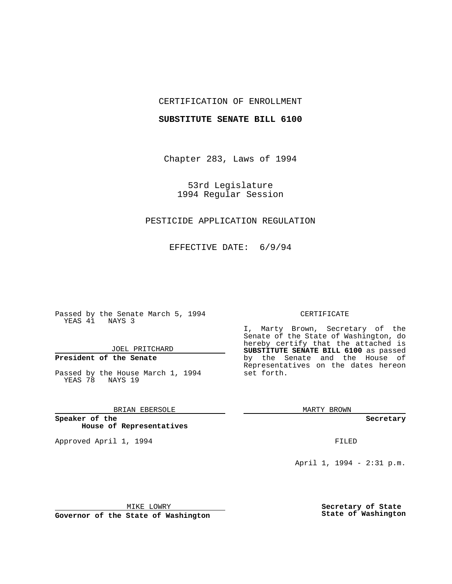## CERTIFICATION OF ENROLLMENT

### **SUBSTITUTE SENATE BILL 6100**

Chapter 283, Laws of 1994

53rd Legislature 1994 Regular Session

# PESTICIDE APPLICATION REGULATION

EFFECTIVE DATE: 6/9/94

Passed by the Senate March 5, 1994 YEAS 41 NAYS 3

JOEL PRITCHARD

**President of the Senate**

Passed by the House March 1, 1994 YEAS 78 NAYS 19

BRIAN EBERSOLE

**Speaker of the House of Representatives**

Approved April 1, 1994 **FILED** 

#### CERTIFICATE

I, Marty Brown, Secretary of the Senate of the State of Washington, do hereby certify that the attached is **SUBSTITUTE SENATE BILL 6100** as passed by the Senate and the House of Representatives on the dates hereon set forth.

MARTY BROWN

**Secretary**

April 1, 1994 - 2:31 p.m.

MIKE LOWRY

**Governor of the State of Washington**

**Secretary of State State of Washington**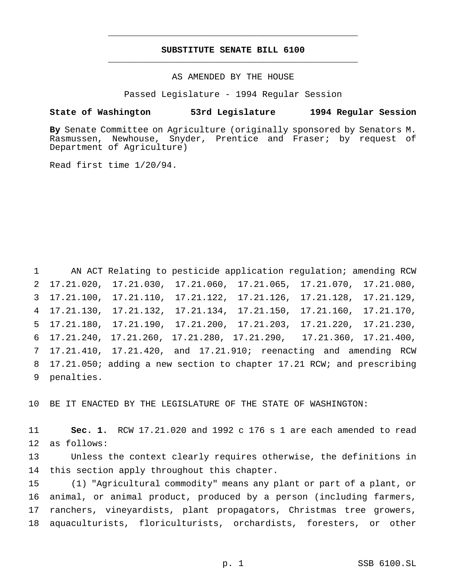# **SUBSTITUTE SENATE BILL 6100** \_\_\_\_\_\_\_\_\_\_\_\_\_\_\_\_\_\_\_\_\_\_\_\_\_\_\_\_\_\_\_\_\_\_\_\_\_\_\_\_\_\_\_\_\_\_\_

\_\_\_\_\_\_\_\_\_\_\_\_\_\_\_\_\_\_\_\_\_\_\_\_\_\_\_\_\_\_\_\_\_\_\_\_\_\_\_\_\_\_\_\_\_\_\_

AS AMENDED BY THE HOUSE

Passed Legislature - 1994 Regular Session

#### **State of Washington 53rd Legislature 1994 Regular Session**

**By** Senate Committee on Agriculture (originally sponsored by Senators M. Rasmussen, Newhouse, Snyder, Prentice and Fraser; by request of Department of Agriculture)

Read first time 1/20/94.

 AN ACT Relating to pesticide application regulation; amending RCW 17.21.020, 17.21.030, 17.21.060, 17.21.065, 17.21.070, 17.21.080, 17.21.100, 17.21.110, 17.21.122, 17.21.126, 17.21.128, 17.21.129, 17.21.130, 17.21.132, 17.21.134, 17.21.150, 17.21.160, 17.21.170, 17.21.180, 17.21.190, 17.21.200, 17.21.203, 17.21.220, 17.21.230, 17.21.240, 17.21.260, 17.21.280, 17.21.290, 17.21.360, 17.21.400, 17.21.410, 17.21.420, and 17.21.910; reenacting and amending RCW 17.21.050; adding a new section to chapter 17.21 RCW; and prescribing penalties.

BE IT ENACTED BY THE LEGISLATURE OF THE STATE OF WASHINGTON:

 **Sec. 1.** RCW 17.21.020 and 1992 c 176 s 1 are each amended to read as follows:

 Unless the context clearly requires otherwise, the definitions in this section apply throughout this chapter.

 (1) "Agricultural commodity" means any plant or part of a plant, or animal, or animal product, produced by a person (including farmers, ranchers, vineyardists, plant propagators, Christmas tree growers, aquaculturists, floriculturists, orchardists, foresters, or other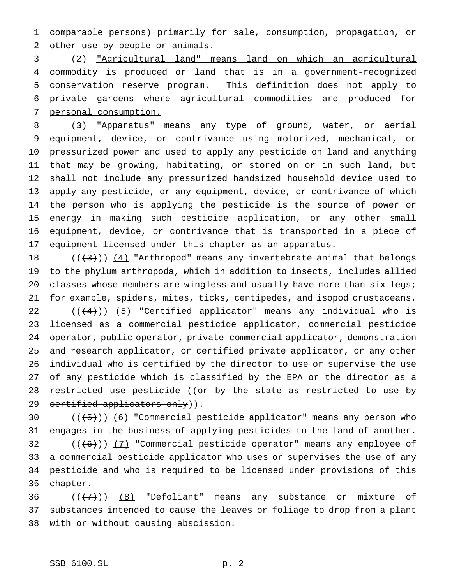comparable persons) primarily for sale, consumption, propagation, or other use by people or animals.

 (2) "Agricultural land" means land on which an agricultural commodity is produced or land that is in a government-recognized conservation reserve program. This definition does not apply to private gardens where agricultural commodities are produced for personal consumption.

 (3) "Apparatus" means any type of ground, water, or aerial equipment, device, or contrivance using motorized, mechanical, or pressurized power and used to apply any pesticide on land and anything that may be growing, habitating, or stored on or in such land, but shall not include any pressurized handsized household device used to apply any pesticide, or any equipment, device, or contrivance of which the person who is applying the pesticide is the source of power or energy in making such pesticide application, or any other small equipment, device, or contrivance that is transported in a piece of equipment licensed under this chapter as an apparatus.

 $((+3))$   $(4)$  "Arthropod" means any invertebrate animal that belongs to the phylum arthropoda, which in addition to insects, includes allied 20 classes whose members are wingless and usually have more than six legs; for example, spiders, mites, ticks, centipedes, and isopod crustaceans.  $((+4))$   $(5)$  "Certified applicator" means any individual who is licensed as a commercial pesticide applicator, commercial pesticide operator, public operator, private-commercial applicator, demonstration and research applicator, or certified private applicator, or any other

 individual who is certified by the director to use or supervise the use 27 of any pesticide which is classified by the EPA or the director as a 28 restricted use pesticide ((<del>or by the state as restricted to use by</del> 29 certified applicators only)).

30  $((+5))$   $(6)$  "Commercial pesticide applicator" means any person who engages in the business of applying pesticides to the land of another.

 $((+6))$   $(7)$  "Commercial pesticide operator" means any employee of a commercial pesticide applicator who uses or supervises the use of any pesticide and who is required to be licensed under provisions of this chapter.

36  $((+7))$   $(8)$  "Defoliant" means any substance or mixture of substances intended to cause the leaves or foliage to drop from a plant with or without causing abscission.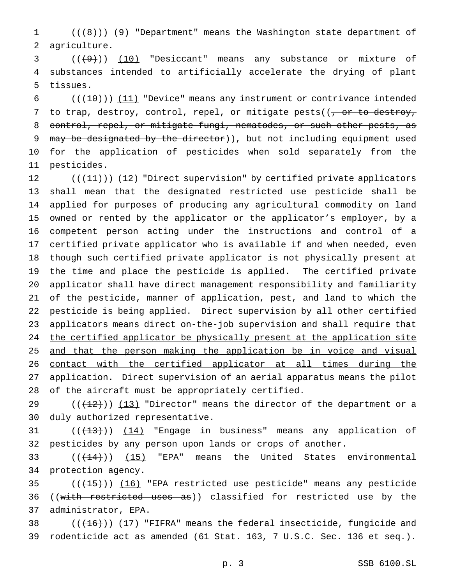1 (((8)) (9) "Department" means the Washington state department of agriculture.

  $((+9))$   $(10)$  "Desiccant" means any substance or mixture of substances intended to artificially accelerate the drying of plant tissues.

 $((+10))$  (11) "Device" means any instrument or contrivance intended 7 to trap, destroy, control, repel, or mitigate pests( $(-$ or to destroy, control, repel, or mitigate fungi, nematodes, or such other pests, as 9 may be designated by the director)), but not including equipment used for the application of pesticides when sold separately from the pesticides.

 $((+11))$   $(12)$  "Direct supervision" by certified private applicators shall mean that the designated restricted use pesticide shall be applied for purposes of producing any agricultural commodity on land owned or rented by the applicator or the applicator's employer, by a competent person acting under the instructions and control of a certified private applicator who is available if and when needed, even though such certified private applicator is not physically present at the time and place the pesticide is applied. The certified private applicator shall have direct management responsibility and familiarity of the pesticide, manner of application, pest, and land to which the pesticide is being applied. Direct supervision by all other certified 23 applicators means direct on-the-job supervision and shall require that 24 the certified applicator be physically present at the application site 25 and that the person making the application be in voice and visual contact with the certified applicator at all times during the application. Direct supervision of an aerial apparatus means the pilot of the aircraft must be appropriately certified.

29  $((+12))$   $(13)$  "Director" means the director of the department or a duly authorized representative.

31 (( $(13)$ )) (14) "Engage in business" means any application of pesticides by any person upon lands or crops of another.

33  $((+44))$   $(15)$  "EPA" means the United States environmental protection agency.

35  $((+15))$   $(16)$  "EPA restricted use pesticide" means any pesticide 36 ((with restricted uses as)) classified for restricted use by the administrator, EPA.

38  $((+16))$  (17) "FIFRA" means the federal insecticide, fungicide and rodenticide act as amended (61 Stat. 163, 7 U.S.C. Sec. 136 et seq.).

p. 3 SSB 6100.SL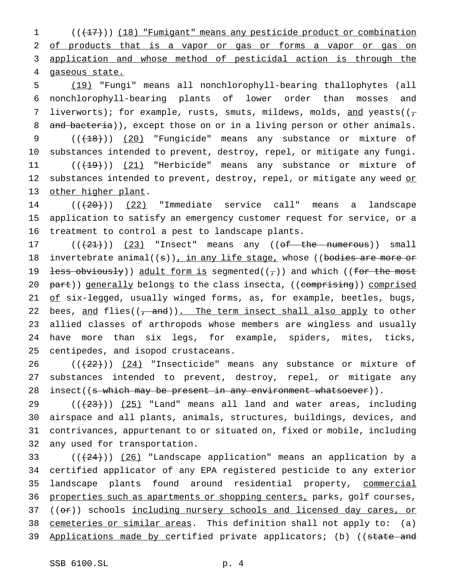1 (( $\left(\frac{17}{1}\right)$ ) (18) "Fumigant" means any pesticide product or combination 2 of products that is a vapor or gas or forms a vapor or gas on 3 application and whose method of pesticidal action is through the 4 gaseous state.

5 (19) "Fungi" means all nonchlorophyll-bearing thallophytes (all 6 nonchlorophyll-bearing plants of lower order than mosses and 7 liverworts); for example, rusts, smuts, mildews, molds, and yeasts( $(\tau$ 8 and bacteria)), except those on or in a living person or other animals. 9 (( $(18)$ )) (20) "Fungicide" means any substance or mixture of 10 substances intended to prevent, destroy, repel, or mitigate any fungi. 11 ((<del>(19)</del>)) (21) "Herbicide" means any substance or mixture of 12 substances intended to prevent, destroy, repel, or mitigate any weed or 13 other higher plant.

14  $((+20))$  (22) "Immediate service call" means a landscape 15 application to satisfy an emergency customer request for service, or a 16 treatment to control a pest to landscape plants.

17  $((+21))$   $(23)$  "Insect" means any  $((of -$  the numerous)) small 18 invertebrate animal( $(s)$ ), in any life stage, whose ((bodies are more or 19 <del>less obviously</del>)) adult form is segmented( $(\tau)$ ) and which ((for the most 20 part)) generally belongs to the class insecta, ((comprising)) comprised 21 of six-legged, usually winged forms, as, for example, beetles, bugs, 22 bees, and flies( $(-$ and)). The term insect shall also apply to other 23 allied classes of arthropods whose members are wingless and usually 24 have more than six legs, for example, spiders, mites, ticks, 25 centipedes, and isopod crustaceans.

26  $((+22))$   $(24)$  "Insecticide" means any substance or mixture of 27 substances intended to prevent, destroy, repel, or mitigate any 28 insect((<del>s which may be present in any environment whatsoever</del>)).

 $((+23))$   $(25)$  "Land" means all land and water areas, including airspace and all plants, animals, structures, buildings, devices, and contrivances, appurtenant to or situated on, fixed or mobile, including any used for transportation.

33 ((<del>(24)</del>)) <u>(26)</u> "Landscape application" means an application by a 34 certified applicator of any EPA registered pesticide to any exterior 35 landscape plants found around residential property, commercial 36 properties such as apartments or shopping centers, parks, golf courses, 37 ((or)) schools including nursery schools and licensed day cares, or 38 cemeteries or similar areas. This definition shall not apply to: (a) 39 Applications made by certified private applicators; (b) ((state and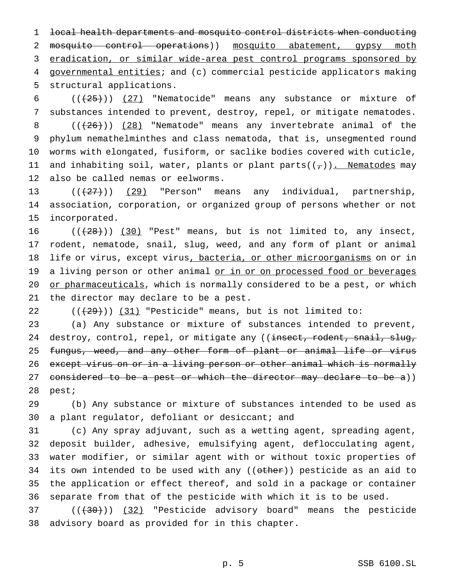1 local health departments and mosquito control districts when conducting 2 mosquito control operations)) mosquito abatement, gypsy moth 3 eradication, or similar wide-area pest control programs sponsored by 4 governmental entities; and (c) commercial pesticide applicators making 5 structural applications.

 $((+25))$   $(27)$  "Nematocide" means any substance or mixture of substances intended to prevent, destroy, repel, or mitigate nematodes.  $((+26))$   $(28)$  "Nematode" means any invertebrate animal of the phylum nemathelminthes and class nematoda, that is, unsegmented round worms with elongated, fusiform, or saclike bodies covered with cuticle, 11 and inhabiting soil, water, plants or plant parts( $(\tau)$ ). Nematodes may also be called nemas or eelworms.

13  $((+27))$   $(29)$  "Person" means any individual, partnership, 14 association, corporation, or organized group of persons whether or not 15 incorporated.

16  $((+28))$   $(30)$  "Pest" means, but is not limited to, any insect, 17 rodent, nematode, snail, slug, weed, and any form of plant or animal 18 life or virus, except virus, bacteria, or other microorganisms on or in 19 a living person or other animal or in or on processed food or beverages 20 or pharmaceuticals, which is normally considered to be a pest, or which 21 the director may declare to be a pest.

22  $((+29))$   $(31)$  "Pesticide" means, but is not limited to:

23 (a) Any substance or mixture of substances intended to prevent, 24 destroy, control, repel, or mitigate any ((insect, rodent, snail, slug, 25 fungus, weed, and any other form of plant or animal life or virus 26 except virus on or in a living person or other animal which is normally 27 considered to be a pest or which the director may declare to be a)) 28 pest;

29 (b) Any substance or mixture of substances intended to be used as 30 a plant regulator, defoliant or desiccant; and

 (c) Any spray adjuvant, such as a wetting agent, spreading agent, deposit builder, adhesive, emulsifying agent, deflocculating agent, water modifier, or similar agent with or without toxic properties of 34 its own intended to be used with any ((other)) pesticide as an aid to the application or effect thereof, and sold in a package or container separate from that of the pesticide with which it is to be used.

37 (( $(30)$ )) (32) "Pesticide advisory board" means the pesticide 38 advisory board as provided for in this chapter.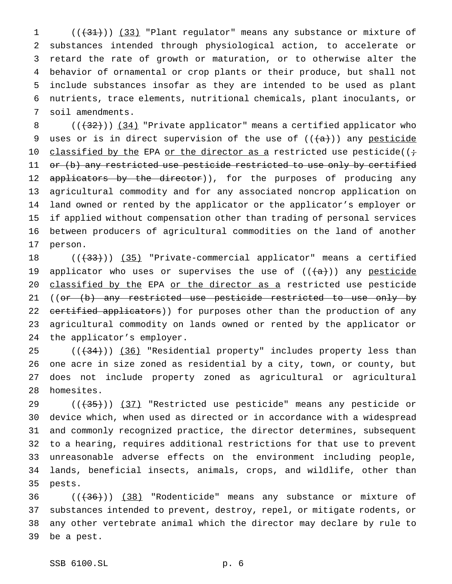(( $\left(\frac{31}{3}\right)$ ) (33) "Plant regulator" means any substance or mixture of substances intended through physiological action, to accelerate or retard the rate of growth or maturation, or to otherwise alter the behavior of ornamental or crop plants or their produce, but shall not include substances insofar as they are intended to be used as plant nutrients, trace elements, nutritional chemicals, plant inoculants, or soil amendments.

8 (( $(32)$ )) (34) "Private applicator" means a certified applicator who 9 uses or is in direct supervision of the use of  $((+a))$  any pesticide 10 classified by the EPA or the director as a restricted use pesticide( $(i+$ 11 or (b) any restricted use pesticide restricted to use only by certified 12 applicators by the director)), for the purposes of producing any agricultural commodity and for any associated noncrop application on land owned or rented by the applicator or the applicator's employer or if applied without compensation other than trading of personal services between producers of agricultural commodities on the land of another person.

18 ((<del>(33)</del>)) (35) "Private-commercial applicator" means a certified 19 applicator who uses or supervises the use of  $((+a))$  any pesticide 20 classified by the EPA or the director as a restricted use pesticide 21 ((or (b) any restricted use pesticide restricted to use only by 22 certified applicators)) for purposes other than the production of any agricultural commodity on lands owned or rented by the applicator or the applicator's employer.

25 ((<del>(34)</del>)) (36) "Residential property" includes property less than one acre in size zoned as residential by a city, town, or county, but does not include property zoned as agricultural or agricultural homesites.

29 (( $(35)$ )) (37) "Restricted use pesticide" means any pesticide or device which, when used as directed or in accordance with a widespread and commonly recognized practice, the director determines, subsequent to a hearing, requires additional restrictions for that use to prevent unreasonable adverse effects on the environment including people, lands, beneficial insects, animals, crops, and wildlife, other than pests.

36 ((<del>(36)</del>)) (38) "Rodenticide" means any substance or mixture of substances intended to prevent, destroy, repel, or mitigate rodents, or any other vertebrate animal which the director may declare by rule to be a pest.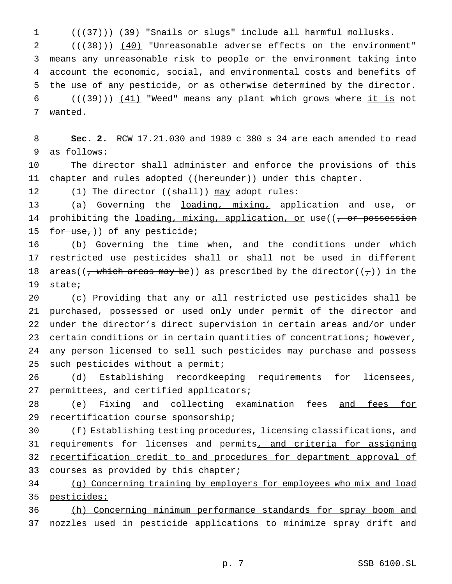$((+37))$   $(39)$  "Snails or slugs" include all harmful mollusks.

 $((+38))$   $(40)$  "Unreasonable adverse effects on the environment" means any unreasonable risk to people or the environment taking into account the economic, social, and environmental costs and benefits of the use of any pesticide, or as otherwise determined by the director.  $((+39))$   $(41)$  "Weed" means any plant which grows where it is not wanted.

 **Sec. 2.** RCW 17.21.030 and 1989 c 380 s 34 are each amended to read as follows:

 The director shall administer and enforce the provisions of this 11 chapter and rules adopted ((hereunder)) under this chapter.

12 (1) The director ((shall)) may adopt rules:

13 (a) Governing the <u>loading, mixing,</u> application and use, or 14 prohibiting the loading, mixing, application, or use((, or possession 15 for use,)) of any pesticide;

 (b) Governing the time when, and the conditions under which restricted use pesticides shall or shall not be used in different 18 areas( $(\frac{1}{7}$  which areas may be)) as prescribed by the director( $(\frac{1}{7})$ ) in the state;

 (c) Providing that any or all restricted use pesticides shall be purchased, possessed or used only under permit of the director and under the director's direct supervision in certain areas and/or under certain conditions or in certain quantities of concentrations; however, any person licensed to sell such pesticides may purchase and possess such pesticides without a permit;

 (d) Establishing recordkeeping requirements for licensees, permittees, and certified applicators;

28 (e) Fixing and collecting examination fees and fees for 29 recertification course sponsorship;

 (f) Establishing testing procedures, licensing classifications, and 31 requirements for licenses and permits, and criteria for assigning recertification credit to and procedures for department approval of 33 courses as provided by this chapter;

 (g) Concerning training by employers for employees who mix and load 35 pesticides;

 (h) Concerning minimum performance standards for spray boom and nozzles used in pesticide applications to minimize spray drift and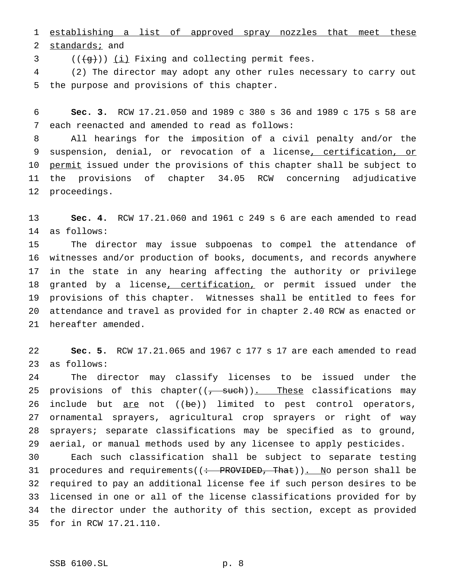establishing a list of approved spray nozzles that meet these 2 standards; and

 $((\{g\})\)$   $(i)$  Fixing and collecting permit fees.

 (2) The director may adopt any other rules necessary to carry out the purpose and provisions of this chapter.

 **Sec. 3.** RCW 17.21.050 and 1989 c 380 s 36 and 1989 c 175 s 58 are each reenacted and amended to read as follows:

 All hearings for the imposition of a civil penalty and/or the 9 suspension, denial, or revocation of a license, certification, or 10 permit issued under the provisions of this chapter shall be subject to the provisions of chapter 34.05 RCW concerning adjudicative proceedings.

 **Sec. 4.** RCW 17.21.060 and 1961 c 249 s 6 are each amended to read as follows:

 The director may issue subpoenas to compel the attendance of witnesses and/or production of books, documents, and records anywhere in the state in any hearing affecting the authority or privilege 18 granted by a license, certification, or permit issued under the provisions of this chapter. Witnesses shall be entitled to fees for attendance and travel as provided for in chapter 2.40 RCW as enacted or hereafter amended.

 **Sec. 5.** RCW 17.21.065 and 1967 c 177 s 17 are each amended to read as follows:

 The director may classify licenses to be issued under the 25 provisions of this chapter( $(\frac{1}{2} + 3w + 1)$ . These classifications may 26 include but are not ((be)) limited to pest control operators, ornamental sprayers, agricultural crop sprayers or right of way sprayers; separate classifications may be specified as to ground, aerial, or manual methods used by any licensee to apply pesticides.

 Each such classification shall be subject to separate testing 31 procedures and requirements( $($ : PROVIDED, That)). No person shall be required to pay an additional license fee if such person desires to be licensed in one or all of the license classifications provided for by the director under the authority of this section, except as provided for in RCW 17.21.110.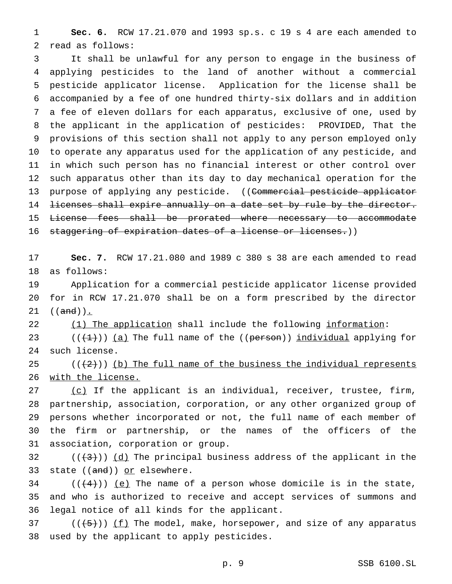**Sec. 6.** RCW 17.21.070 and 1993 sp.s. c 19 s 4 are each amended to read as follows:

 It shall be unlawful for any person to engage in the business of applying pesticides to the land of another without a commercial pesticide applicator license. Application for the license shall be accompanied by a fee of one hundred thirty-six dollars and in addition a fee of eleven dollars for each apparatus, exclusive of one, used by the applicant in the application of pesticides: PROVIDED, That the provisions of this section shall not apply to any person employed only to operate any apparatus used for the application of any pesticide, and in which such person has no financial interest or other control over such apparatus other than its day to day mechanical operation for the 13 purpose of applying any pesticide. ((Commercial pesticide applicator licenses shall expire annually on a date set by rule by the director. License fees shall be prorated where necessary to accommodate 16 staggering of expiration dates of a license or licenses.))

 **Sec. 7.** RCW 17.21.080 and 1989 c 380 s 38 are each amended to read as follows:

 Application for a commercial pesticide applicator license provided for in RCW 17.21.070 shall be on a form prescribed by the director  $((and))_{\_}$ 

22 (1) The application shall include the following information:

23  $((+1))$  (a) The full name of the ((person)) individual applying for such license.

 $((+2))$  (b) The full name of the business the individual represents with the license.

 $(c)$  If the applicant is an individual, receiver, trustee, firm, partnership, association, corporation, or any other organized group of persons whether incorporated or not, the full name of each member of the firm or partnership, or the names of the officers of the association, corporation or group.

 $((+3))$   $(d)$  The principal business address of the applicant in the 33 state ((and)) or elsewhere.

34  $((\frac{4}{3})^2)(e)$  The name of a person whose domicile is in the state, and who is authorized to receive and accept services of summons and legal notice of all kinds for the applicant.

37 ( $(\frac{5}{1})$ ) <u>(f</u>) The model, make, horsepower, and size of any apparatus used by the applicant to apply pesticides.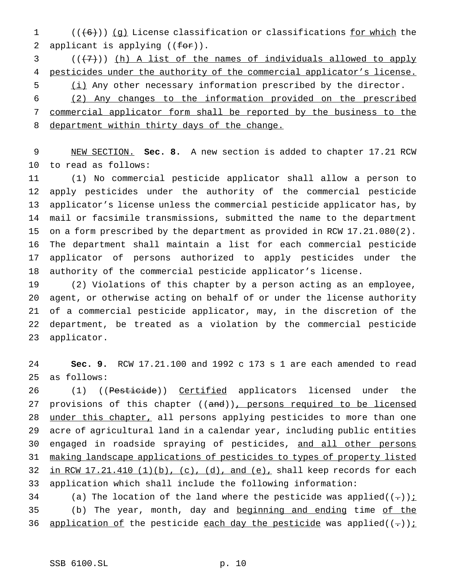1  $((+6))$  (g) License classification or classifications for which the 2 applicant is applying  $((for)$ ).

  $((+7))$  (h) A list of the names of individuals allowed to apply 4 pesticides under the authority of the commercial applicator's license.

 (i) Any other necessary information prescribed by the director. (2) Any changes to the information provided on the prescribed commercial applicator form shall be reported by the business to the 8 department within thirty days of the change.

 NEW SECTION. **Sec. 8.** A new section is added to chapter 17.21 RCW to read as follows:

 (1) No commercial pesticide applicator shall allow a person to apply pesticides under the authority of the commercial pesticide applicator's license unless the commercial pesticide applicator has, by mail or facsimile transmissions, submitted the name to the department on a form prescribed by the department as provided in RCW 17.21.080(2). The department shall maintain a list for each commercial pesticide applicator of persons authorized to apply pesticides under the authority of the commercial pesticide applicator's license.

 (2) Violations of this chapter by a person acting as an employee, agent, or otherwise acting on behalf of or under the license authority of a commercial pesticide applicator, may, in the discretion of the department, be treated as a violation by the commercial pesticide applicator.

 **Sec. 9.** RCW 17.21.100 and 1992 c 173 s 1 are each amended to read as follows:

26 (1) ((Pesticide)) Certified applicators licensed under the 27 provisions of this chapter ((and)), persons required to be licensed 28 under this chapter, all persons applying pesticides to more than one acre of agricultural land in a calendar year, including public entities engaged in roadside spraying of pesticides, and all other persons making landscape applications of pesticides to types of property listed 32 in RCW  $17.21.410$  (1)(b), (c), (d), and (e), shall keep records for each application which shall include the following information:

34 (a) The location of the land where the pesticide was applied( $(-)$ ): 35 (b) The year, month, day and beginning and ending time of the 36 application of the pesticide each day the pesticide was applied( $(-)$ );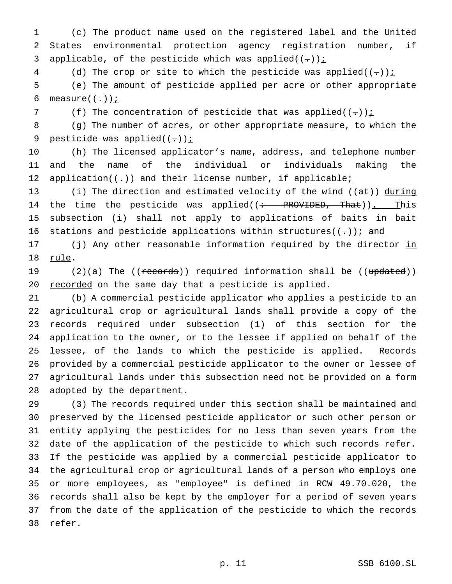(c) The product name used on the registered label and the United States environmental protection agency registration number, if 3 applicable, of the pesticide which was applied( $(-)$ )  $\frac{1}{2}$ 

4 (d) The crop or site to which the pesticide was applied( $(-)$ )  $\frac{1}{2}$ 

 (e) The amount of pesticide applied per acre or other appropriate 6 measure( $(-)$ ) $i$ 

7 (f) The concentration of pesticide that was applied( $(-)$ );

 (g) The number of acres, or other appropriate measure, to which the 9 pesticide was applied $((-))$  *i* 

 (h) The licensed applicator's name, address, and telephone number and the name of the individual or individuals making the 12 application( $(-)$ ) and their license number, if applicable;

13 (i) The direction and estimated velocity of the wind  $((a\texttt{t}))$  during 14 the time the pesticide was applied( $($  + PROVIDED, That)). This subsection (i) shall not apply to applications of baits in bait 16 stations and pesticide applications within structures( $(-)$ ) i and

17 (j) Any other reasonable information required by the director in rule.

19 (2)(a) The ((records)) required information shall be ((updated)) 20 recorded on the same day that a pesticide is applied.

 (b) A commercial pesticide applicator who applies a pesticide to an agricultural crop or agricultural lands shall provide a copy of the records required under subsection (1) of this section for the application to the owner, or to the lessee if applied on behalf of the lessee, of the lands to which the pesticide is applied. Records provided by a commercial pesticide applicator to the owner or lessee of agricultural lands under this subsection need not be provided on a form adopted by the department.

 (3) The records required under this section shall be maintained and 30 preserved by the licensed pesticide applicator or such other person or entity applying the pesticides for no less than seven years from the date of the application of the pesticide to which such records refer. If the pesticide was applied by a commercial pesticide applicator to the agricultural crop or agricultural lands of a person who employs one or more employees, as "employee" is defined in RCW 49.70.020, the records shall also be kept by the employer for a period of seven years from the date of the application of the pesticide to which the records refer.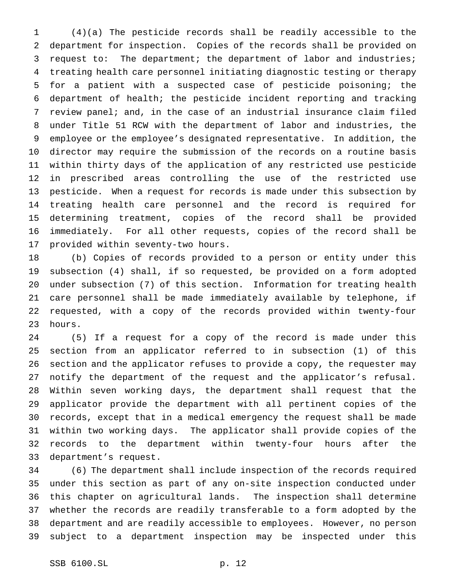(4)(a) The pesticide records shall be readily accessible to the department for inspection. Copies of the records shall be provided on request to: The department; the department of labor and industries; treating health care personnel initiating diagnostic testing or therapy for a patient with a suspected case of pesticide poisoning; the department of health; the pesticide incident reporting and tracking review panel; and, in the case of an industrial insurance claim filed under Title 51 RCW with the department of labor and industries, the employee or the employee's designated representative. In addition, the director may require the submission of the records on a routine basis within thirty days of the application of any restricted use pesticide in prescribed areas controlling the use of the restricted use pesticide. When a request for records is made under this subsection by treating health care personnel and the record is required for determining treatment, copies of the record shall be provided immediately. For all other requests, copies of the record shall be provided within seventy-two hours.

 (b) Copies of records provided to a person or entity under this subsection (4) shall, if so requested, be provided on a form adopted under subsection (7) of this section. Information for treating health care personnel shall be made immediately available by telephone, if requested, with a copy of the records provided within twenty-four hours.

 (5) If a request for a copy of the record is made under this section from an applicator referred to in subsection (1) of this section and the applicator refuses to provide a copy, the requester may notify the department of the request and the applicator's refusal. Within seven working days, the department shall request that the applicator provide the department with all pertinent copies of the records, except that in a medical emergency the request shall be made within two working days. The applicator shall provide copies of the records to the department within twenty-four hours after the department's request.

 (6) The department shall include inspection of the records required under this section as part of any on-site inspection conducted under this chapter on agricultural lands. The inspection shall determine whether the records are readily transferable to a form adopted by the department and are readily accessible to employees. However, no person subject to a department inspection may be inspected under this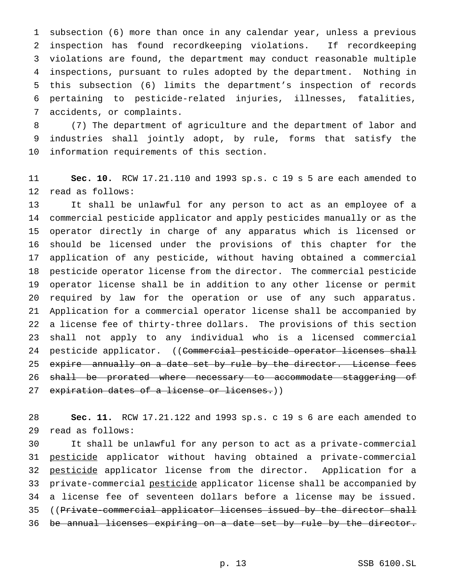subsection (6) more than once in any calendar year, unless a previous inspection has found recordkeeping violations. If recordkeeping violations are found, the department may conduct reasonable multiple inspections, pursuant to rules adopted by the department. Nothing in this subsection (6) limits the department's inspection of records pertaining to pesticide-related injuries, illnesses, fatalities, accidents, or complaints.

 (7) The department of agriculture and the department of labor and industries shall jointly adopt, by rule, forms that satisfy the information requirements of this section.

 **Sec. 10.** RCW 17.21.110 and 1993 sp.s. c 19 s 5 are each amended to read as follows:

 It shall be unlawful for any person to act as an employee of a commercial pesticide applicator and apply pesticides manually or as the operator directly in charge of any apparatus which is licensed or should be licensed under the provisions of this chapter for the application of any pesticide, without having obtained a commercial pesticide operator license from the director. The commercial pesticide operator license shall be in addition to any other license or permit required by law for the operation or use of any such apparatus. Application for a commercial operator license shall be accompanied by a license fee of thirty-three dollars. The provisions of this section shall not apply to any individual who is a licensed commercial 24 pesticide applicator. ((Commercial pesticide operator licenses shall 25 expire annually on a date set by rule by the director. License fees 26 shall be prorated where necessary to accommodate staggering of 27 expiration dates of a license or licenses.))

 **Sec. 11.** RCW 17.21.122 and 1993 sp.s. c 19 s 6 are each amended to read as follows:

 It shall be unlawful for any person to act as a private-commercial pesticide applicator without having obtained a private-commercial 32 pesticide applicator license from the director. Application for a private-commercial pesticide applicator license shall be accompanied by a license fee of seventeen dollars before a license may be issued. ((Private-commercial applicator licenses issued by the director shall be annual licenses expiring on a date set by rule by the director.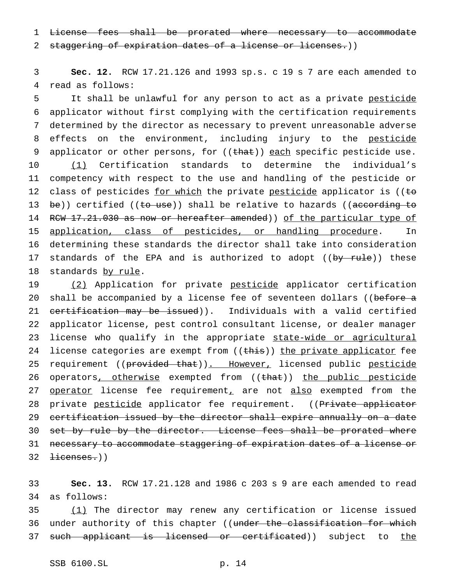1 License fees shall be prorated where necessary to accommodate

2 staggering of expiration dates of a license or licenses.))

3 **Sec. 12.** RCW 17.21.126 and 1993 sp.s. c 19 s 7 are each amended to 4 read as follows:

5 It shall be unlawful for any person to act as a private pesticide 6 applicator without first complying with the certification requirements 7 determined by the director as necessary to prevent unreasonable adverse 8 effects on the environment, including injury to the pesticide 9 applicator or other persons, for  $((that))$  each specific pesticide use. 10 (1) Certification standards to determine the individual's 11 competency with respect to the use and handling of the pesticide or 12 class of pesticides for which the private pesticide applicator is ((to 13 be)) certified (( $t_0$  use)) shall be relative to hazards (( $\arccos$ ) according to 14 RCW 17.21.030 as now or hereafter amended)) of the particular type of 15 application, class of pesticides, or handling procedure. In 16 determining these standards the director shall take into consideration 17 standards of the EPA and is authorized to adopt ((by rule)) these 18 standards by rule.

19 (2) Application for private pesticide applicator certification 20 shall be accompanied by a license fee of seventeen dollars ((before a 21 certification may be issued)). Individuals with a valid certified 22 applicator license, pest control consultant license, or dealer manager 23 license who qualify in the appropriate state-wide or agricultural 24 license categories are exempt from ((this)) the private applicator fee 25 requirement ((provided that)). However, licensed public pesticide 26 operators, otherwise exempted from ((that)) the public pesticide 27 operator license fee requirement, are not also exempted from the 28 private pesticide applicator fee requirement. ((Private applicator 29 certification issued by the director shall expire annually on a date 30 set by rule by the director. License fees shall be prorated where 31 necessary to accommodate staggering of expiration dates of a license or 32 <del>licenses.</del>))

33 **Sec. 13.** RCW 17.21.128 and 1986 c 203 s 9 are each amended to read 34 as follows:

35 (1) The director may renew any certification or license issued 36 under authority of this chapter ((under the classification for which 37 such applicant is licensed or certificated)) subject to the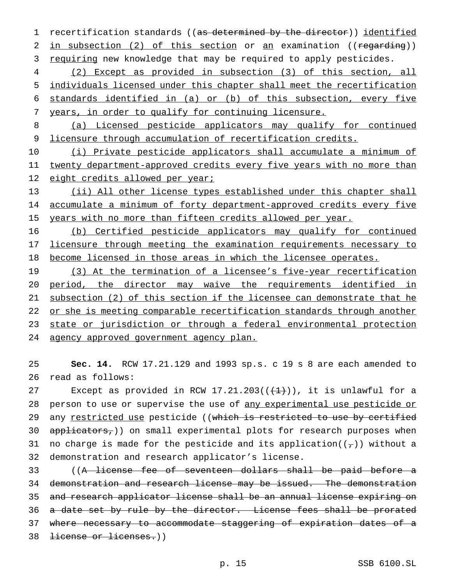1 recertification standards ((as determined by the director)) identified 2 in subsection (2) of this section or an examination ((regarding)) 3 requiring new knowledge that may be required to apply pesticides.

 (2) Except as provided in subsection (3) of this section, all individuals licensed under this chapter shall meet the recertification standards identified in (a) or (b) of this subsection, every five years, in order to qualify for continuing licensure.

8 (a) Licensed pesticide applicators may qualify for continued 9 licensure through accumulation of recertification credits.

10 (i) Private pesticide applicators shall accumulate a minimum of 11 twenty department-approved credits every five years with no more than 12 eight credits allowed per year;

13 (ii) All other license types established under this chapter shall 14 accumulate a minimum of forty department-approved credits every five 15 years with no more than fifteen credits allowed per year.

16 (b) Certified pesticide applicators may qualify for continued 17 licensure through meeting the examination requirements necessary to 18 become licensed in those areas in which the licensee operates.

19 (3) At the termination of a licensee's five-year recertification 20 period, the director may waive the requirements identified in 21 subsection (2) of this section if the licensee can demonstrate that he 22 or she is meeting comparable recertification standards through another 23 state or jurisdiction or through a federal environmental protection 24 agency approved government agency plan.

25 **Sec. 14.** RCW 17.21.129 and 1993 sp.s. c 19 s 8 are each amended to 26 read as follows:

27 Except as provided in RCW  $17.21.203((+1))$ , it is unlawful for a 28 person to use or supervise the use of any experimental use pesticide or 29 any restricted use pesticide ((which is restricted to use by certified 30 applicators,)) on small experimental plots for research purposes when 31 no charge is made for the pesticide and its application( $(\tau)$ ) without a 32 demonstration and research applicator's license.

 ((A license fee of seventeen dollars shall be paid before a demonstration and research license may be issued. The demonstration and research applicator license shall be an annual license expiring on 36 a date set by rule by the director. License fees shall be prorated where necessary to accommodate staggering of expiration dates of a license or licenses.))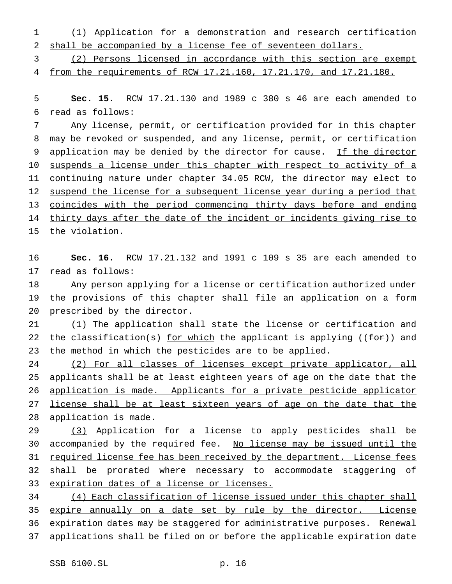(1) Application for a demonstration and research certification shall be accompanied by a license fee of seventeen dollars.

 (2) Persons licensed in accordance with this section are exempt from the requirements of RCW 17.21.160, 17.21.170, and 17.21.180.

 **Sec. 15.** RCW 17.21.130 and 1989 c 380 s 46 are each amended to read as follows:

 Any license, permit, or certification provided for in this chapter may be revoked or suspended, and any license, permit, or certification 9 application may be denied by the director for cause. If the director suspends a license under this chapter with respect to activity of a continuing nature under chapter 34.05 RCW, the director may elect to 12 suspend the license for a subsequent license year during a period that 13 coincides with the period commencing thirty days before and ending 14 thirty days after the date of the incident or incidents giving rise to 15 the violation.

 **Sec. 16.** RCW 17.21.132 and 1991 c 109 s 35 are each amended to read as follows:

 Any person applying for a license or certification authorized under the provisions of this chapter shall file an application on a form prescribed by the director.

21 (1) The application shall state the license or certification and 22 the classification(s) for which the applicant is applying ( $(for)$ ) and the method in which the pesticides are to be applied.

 (2) For all classes of licenses except private applicator, all applicants shall be at least eighteen years of age on the date that the application is made. Applicants for a private pesticide applicator 27 license shall be at least sixteen years of age on the date that the 28 application is made.

 (3) Application for a license to apply pesticides shall be 30 accompanied by the required fee. No license may be issued until the 31 required license fee has been received by the department. License fees 32 shall be prorated where necessary to accommodate staggering of expiration dates of a license or licenses.

 (4) Each classification of license issued under this chapter shall 35 expire annually on a date set by rule by the director. License expiration dates may be staggered for administrative purposes. Renewal applications shall be filed on or before the applicable expiration date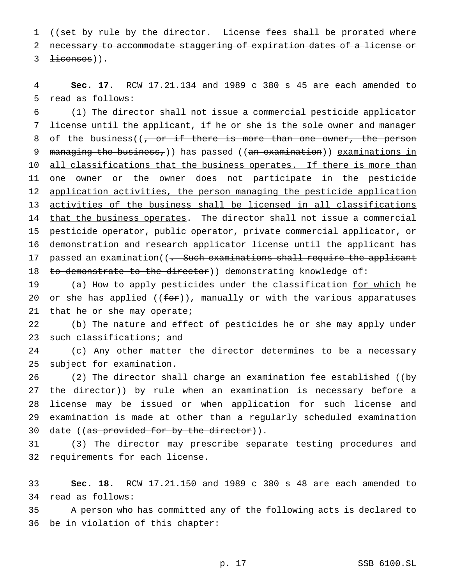1 ((set by rule by the director. License fees shall be prorated where 2 necessary to accommodate staggering of expiration dates of a license or  $3$   $\pm$ icenses)).

4 **Sec. 17.** RCW 17.21.134 and 1989 c 380 s 45 are each amended to 5 read as follows:

6 (1) The director shall not issue a commercial pesticide applicator 7 license until the applicant, if he or she is the sole owner and manager 8 of the business( $\sqrt{7}$  or if there is more than one owner, the person 9 managing the business,)) has passed ((an examination)) examinations in 10 all classifications that the business operates. If there is more than 11 one owner or the owner does not participate in the pesticide 12 application activities, the person managing the pesticide application 13 activities of the business shall be licensed in all classifications 14 that the business operates. The director shall not issue a commercial 15 pesticide operator, public operator, private commercial applicator, or 16 demonstration and research applicator license until the applicant has 17 passed an examination((<del>. Such examinations shall require the applicant</del> 18 to demonstrate to the director) demonstrating knowledge of:

19 (a) How to apply pesticides under the classification for which he 20 or she has applied  $((f \rightarrow f)^*)$ , manually or with the various apparatuses 21 that he or she may operate;

22 (b) The nature and effect of pesticides he or she may apply under 23 such classifications; and

24 (c) Any other matter the director determines to be a necessary 25 subject for examination.

26 (2) The director shall charge an examination fee established ((by 27 the director)) by rule when an examination is necessary before a 28 license may be issued or when application for such license and 29 examination is made at other than a regularly scheduled examination 30 date ((as provided for by the director)).

31 (3) The director may prescribe separate testing procedures and 32 requirements for each license.

33 **Sec. 18.** RCW 17.21.150 and 1989 c 380 s 48 are each amended to 34 read as follows:

35 A person who has committed any of the following acts is declared to 36 be in violation of this chapter: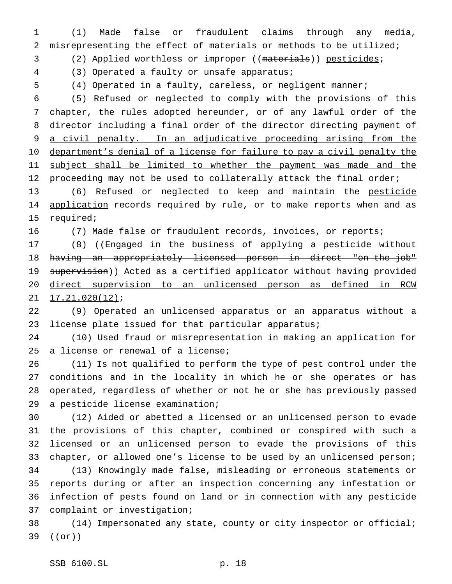(1) Made false or fraudulent claims through any media, misrepresenting the effect of materials or methods to be utilized;

(2) Applied worthless or improper ((materials)) pesticides;

(3) Operated a faulty or unsafe apparatus;

(4) Operated in a faulty, careless, or negligent manner;

 (5) Refused or neglected to comply with the provisions of this chapter, the rules adopted hereunder, or of any lawful order of the director including a final order of the director directing payment of 9 a civil penalty. In an adjudicative proceeding arising from the 10 department's denial of a license for failure to pay a civil penalty the 11 subject shall be limited to whether the payment was made and the 12 proceeding may not be used to collaterally attack the final order;

 (6) Refused or neglected to keep and maintain the pesticide 14 application records required by rule, or to make reports when and as required;

(7) Made false or fraudulent records, invoices, or reports;

17 (8) ((Engaged in the business of applying a pesticide without having an appropriately licensed person in direct "on-the-job" 19 supervision)) Acted as a certified applicator without having provided direct supervision to an unlicensed person as defined in RCW 21 17.21.020(12);

 (9) Operated an unlicensed apparatus or an apparatus without a license plate issued for that particular apparatus;

 (10) Used fraud or misrepresentation in making an application for a license or renewal of a license;

 (11) Is not qualified to perform the type of pest control under the conditions and in the locality in which he or she operates or has operated, regardless of whether or not he or she has previously passed a pesticide license examination;

 (12) Aided or abetted a licensed or an unlicensed person to evade the provisions of this chapter, combined or conspired with such a licensed or an unlicensed person to evade the provisions of this chapter, or allowed one's license to be used by an unlicensed person; (13) Knowingly made false, misleading or erroneous statements or reports during or after an inspection concerning any infestation or infection of pests found on land or in connection with any pesticide complaint or investigation;

 (14) Impersonated any state, county or city inspector or official;  $((\theta \cdot \hat{r}))$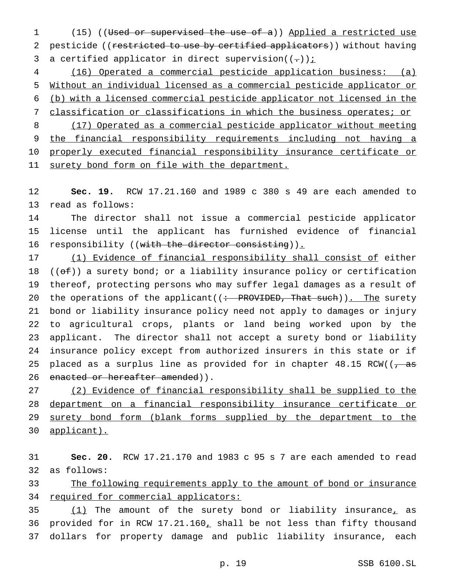(15) ((Used or supervised the use of a)) Applied a restricted use 2 pesticide ((restricted to use by certified applicators)) without having 3 a certified applicator in direct supervision( $(-)$ );

 (16) Operated a commercial pesticide application business: (a) Without an individual licensed as a commercial pesticide applicator or (b) with a licensed commercial pesticide applicator not licensed in the classification or classifications in which the business operates; or (17) Operated as a commercial pesticide applicator without meeting

 the financial responsibility requirements including not having a properly executed financial responsibility insurance certificate or 11 surety bond form on file with the department.

 **Sec. 19.** RCW 17.21.160 and 1989 c 380 s 49 are each amended to read as follows:

 The director shall not issue a commercial pesticide applicator license until the applicant has furnished evidence of financial 16 responsibility ((with the director consisting)).

 (1) Evidence of financial responsibility shall consist of either 18 ( $(\overline{ef})$ ) a surety bond; or a liability insurance policy or certification thereof, protecting persons who may suffer legal damages as a result of 20 the operations of the applicant( $($ : PROVIDED, That such)). The surety bond or liability insurance policy need not apply to damages or injury to agricultural crops, plants or land being worked upon by the applicant. The director shall not accept a surety bond or liability insurance policy except from authorized insurers in this state or if 25 placed as a surplus line as provided for in chapter  $48.15$  RCW( $\left(\frac{1}{2}, \frac{1}{2}\right)$ 26 enacted or hereafter amended)).

 (2) Evidence of financial responsibility shall be supplied to the department on a financial responsibility insurance certificate or 29 surety bond form (blank forms supplied by the department to the applicant).

 **Sec. 20.** RCW 17.21.170 and 1983 c 95 s 7 are each amended to read as follows:

 The following requirements apply to the amount of bond or insurance 34 required for commercial applicators:

35 (1) The amount of the surety bond or liability insurance, as provided for in RCW 17.21.160, shall be not less than fifty thousand dollars for property damage and public liability insurance, each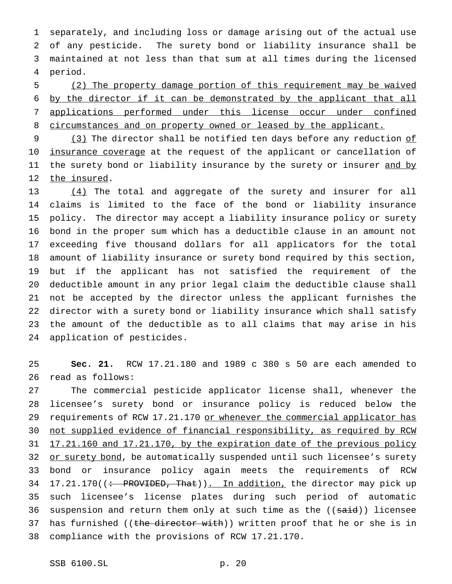separately, and including loss or damage arising out of the actual use of any pesticide. The surety bond or liability insurance shall be maintained at not less than that sum at all times during the licensed period.

 (2) The property damage portion of this requirement may be waived by the director if it can be demonstrated by the applicant that all applications performed under this license occur under confined 8 circumstances and on property owned or leased by the applicant.

9 (3) The director shall be notified ten days before any reduction of 10 insurance coverage at the request of the applicant or cancellation of 11 the surety bond or liability insurance by the surety or insurer and by 12 the insured.

13 (4) The total and aggregate of the surety and insurer for all claims is limited to the face of the bond or liability insurance policy. The director may accept a liability insurance policy or surety bond in the proper sum which has a deductible clause in an amount not exceeding five thousand dollars for all applicators for the total amount of liability insurance or surety bond required by this section, but if the applicant has not satisfied the requirement of the deductible amount in any prior legal claim the deductible clause shall not be accepted by the director unless the applicant furnishes the director with a surety bond or liability insurance which shall satisfy the amount of the deductible as to all claims that may arise in his application of pesticides.

 **Sec. 21.** RCW 17.21.180 and 1989 c 380 s 50 are each amended to read as follows:

 The commercial pesticide applicator license shall, whenever the licensee's surety bond or insurance policy is reduced below the 29 requirements of RCW 17.21.170 or whenever the commercial applicator has not supplied evidence of financial responsibility, as required by RCW 31 17.21.160 and 17.21.170, by the expiration date of the previous policy 32 or surety bond, be automatically suspended until such licensee's surety bond or insurance policy again meets the requirements of RCW 34 17.21.170((: PROVIDED, That)). In addition, the director may pick up such licensee's license plates during such period of automatic 36 suspension and return them only at such time as the ((said)) licensee 37 has furnished ((the director with)) written proof that he or she is in compliance with the provisions of RCW 17.21.170.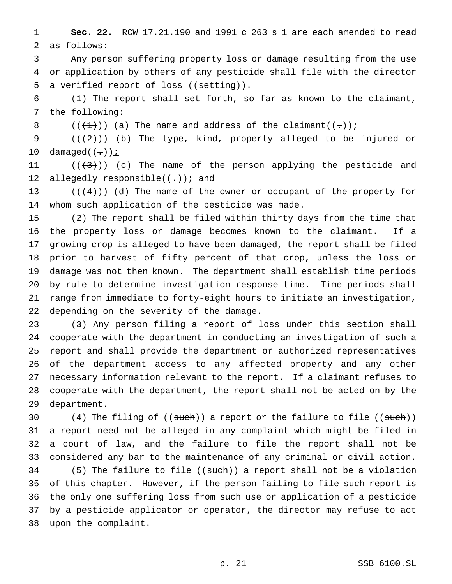**Sec. 22.** RCW 17.21.190 and 1991 c 263 s 1 are each amended to read as follows:

 Any person suffering property loss or damage resulting from the use or application by others of any pesticide shall file with the director 5 a verified report of loss ((setting)).

 (1) The report shall set forth, so far as known to the claimant, the following:

8 ( $(\frac{1}{2})$ ) (a) The name and address of the claimant((-))<u>;</u>

9  $((+2))$   $(b)$  The type, kind, property alleged to be injured or 10 damaged $((-))i$ 

11  $((+3))$   $(c)$  The name of the person applying the pesticide and 12 allegedly responsible( $(-)$ ) *i* and

13 ( $(\frac{4}{4})$ )  $\underline{d}$  The name of the owner or occupant of the property for whom such application of the pesticide was made.

15 (2) The report shall be filed within thirty days from the time that the property loss or damage becomes known to the claimant. If a growing crop is alleged to have been damaged, the report shall be filed prior to harvest of fifty percent of that crop, unless the loss or damage was not then known. The department shall establish time periods by rule to determine investigation response time. Time periods shall range from immediate to forty-eight hours to initiate an investigation, depending on the severity of the damage.

 (3) Any person filing a report of loss under this section shall cooperate with the department in conducting an investigation of such a report and shall provide the department or authorized representatives of the department access to any affected property and any other necessary information relevant to the report. If a claimant refuses to cooperate with the department, the report shall not be acted on by the department.

 $(4)$  The filing of ((such)) a report or the failure to file ((such)) a report need not be alleged in any complaint which might be filed in a court of law, and the failure to file the report shall not be considered any bar to the maintenance of any criminal or civil action. (5) The failure to file ((such)) a report shall not be a violation of this chapter. However, if the person failing to file such report is the only one suffering loss from such use or application of a pesticide by a pesticide applicator or operator, the director may refuse to act upon the complaint.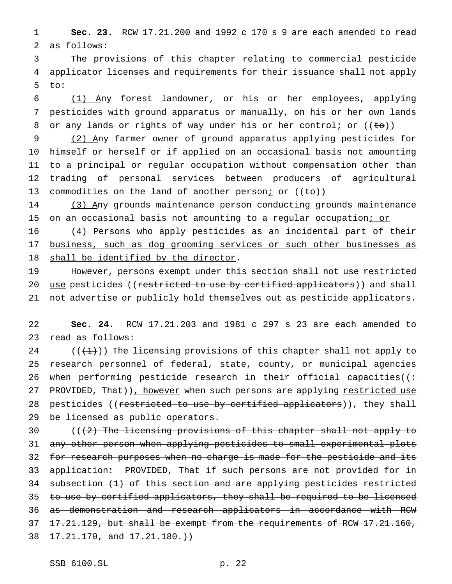1 **Sec. 23.** RCW 17.21.200 and 1992 c 170 s 9 are each amended to read 2 as follows:

3 The provisions of this chapter relating to commercial pesticide 4 applicator licenses and requirements for their issuance shall not apply 5 to:

6 (1) Any forest landowner, or his or her employees, applying 7 pesticides with ground apparatus or manually, on his or her own lands 8 or any lands or rights of way under his or her controli or  $((\pm \theta))$ 

 (2) Any farmer owner of ground apparatus applying pesticides for himself or herself or if applied on an occasional basis not amounting to a principal or regular occupation without compensation other than trading of personal services between producers of agricultural 13 commodities on the land of another person<sub>i</sub> or  $((\pm \theta))$ 

14 (3) Any grounds maintenance person conducting grounds maintenance 15 on an occasional basis not amounting to a regular occupation; or

16 (4) Persons who apply pesticides as an incidental part of their 17 business, such as dog grooming services or such other businesses as 18 shall be identified by the director.

19 However, persons exempt under this section shall not use restricted 20 use pesticides ((restricted to use by certified applicators)) and shall 21 not advertise or publicly hold themselves out as pesticide applicators.

22 **Sec. 24.** RCW 17.21.203 and 1981 c 297 s 23 are each amended to 23 read as follows:

24  $((+1))$  The licensing provisions of this chapter shall not apply to 25 research personnel of federal, state, county, or municipal agencies 26 when performing pesticide research in their official capacities( $($ : 27 PROVIDED, That)), however when such persons are applying restricted use 28 pesticides ((restricted to use by certified applicators)), they shall 29 be licensed as public operators.

30 (((2) The licensing provisions of this chapter shall not apply to 31 any other person when applying pesticides to small experimental plots 32 for research purposes when no charge is made for the pesticide and its 33 application: PROVIDED, That if such persons are not provided for in 34 subsection (1) of this section and are applying pesticides restricted 35 to use by certified applicators, they shall be required to be licensed 36 as demonstration and research applicators in accordance with RCW 37 <del>17.21.129, but shall be exempt from the requirements of RCW 17.21.160,</del> 38 17.21.170, and 17.21.180.)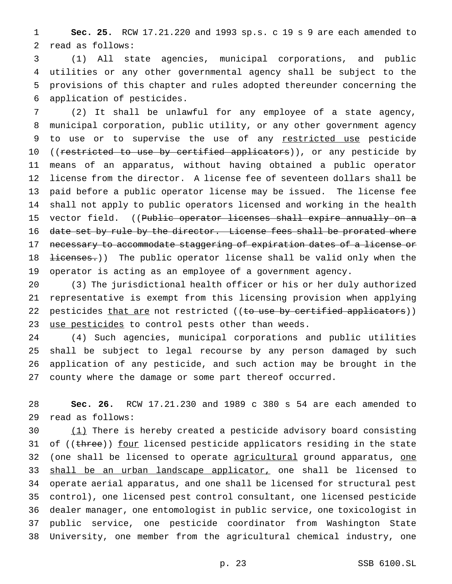**Sec. 25.** RCW 17.21.220 and 1993 sp.s. c 19 s 9 are each amended to read as follows:

 (1) All state agencies, municipal corporations, and public utilities or any other governmental agency shall be subject to the provisions of this chapter and rules adopted thereunder concerning the application of pesticides.

 (2) It shall be unlawful for any employee of a state agency, municipal corporation, public utility, or any other government agency 9 to use or to supervise the use of any restricted use pesticide 10 ((restricted to use by certified applicators)), or any pesticide by means of an apparatus, without having obtained a public operator license from the director. A license fee of seventeen dollars shall be paid before a public operator license may be issued. The license fee shall not apply to public operators licensed and working in the health 15 vector field. ((Public operator licenses shall expire annually on a 16 date set by rule by the director. License fees shall be prorated where 17 necessary to accommodate staggering of expiration dates of a license or 18 <del>licenses.</del>)) The public operator license shall be valid only when the operator is acting as an employee of a government agency.

 (3) The jurisdictional health officer or his or her duly authorized representative is exempt from this licensing provision when applying 22 pesticides that are not restricted ((to use by certified applicators)) 23 use pesticides to control pests other than weeds.

 (4) Such agencies, municipal corporations and public utilities shall be subject to legal recourse by any person damaged by such application of any pesticide, and such action may be brought in the county where the damage or some part thereof occurred.

 **Sec. 26.** RCW 17.21.230 and 1989 c 380 s 54 are each amended to read as follows:

30 (1) There is hereby created a pesticide advisory board consisting 31 of ((three)) four licensed pesticide applicators residing in the state 32 (one shall be licensed to operate agricultural ground apparatus, one 33 shall be an urban landscape applicator, one shall be licensed to operate aerial apparatus, and one shall be licensed for structural pest control), one licensed pest control consultant, one licensed pesticide dealer manager, one entomologist in public service, one toxicologist in public service, one pesticide coordinator from Washington State University, one member from the agricultural chemical industry, one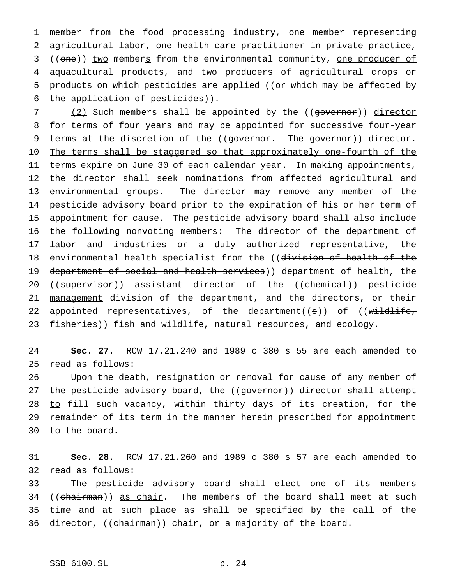member from the food processing industry, one member representing agricultural labor, one health care practitioner in private practice, 3 ((one)) two members from the environmental community, one producer of aquacultural products, and two producers of agricultural crops or 5 products on which pesticides are applied ((or which may be affected by the application of pesticides)).

7 (2) Such members shall be appointed by the ((governor)) director 8 for terms of four years and may be appointed for successive four-year 9 terms at the discretion of the ((governor. The governor)) director. 10 The terms shall be staggered so that approximately one-fourth of the 11 terms expire on June 30 of each calendar year. In making appointments, 12 the director shall seek nominations from affected agricultural and 13 environmental groups. The director may remove any member of the 14 pesticide advisory board prior to the expiration of his or her term of 15 appointment for cause. The pesticide advisory board shall also include 16 the following nonvoting members: The director of the department of 17 labor and industries or a duly authorized representative, the 18 environmental health specialist from the ((division of health of the 19 department of social and health services)) department of health, the 20 ((supervisor)) assistant director of the ((chemical)) pesticide 21 management division of the department, and the directors, or their 22 appointed representatives, of the department((s)) of ((wildlife, 23 fisheries)) fish and wildlife, natural resources, and ecology.

24 **Sec. 27.** RCW 17.21.240 and 1989 c 380 s 55 are each amended to 25 read as follows:

26 Upon the death, resignation or removal for cause of any member of 27 the pesticide advisory board, the ((governor)) director shall attempt 28 to fill such vacancy, within thirty days of its creation, for the 29 remainder of its term in the manner herein prescribed for appointment 30 to the board.

31 **Sec. 28.** RCW 17.21.260 and 1989 c 380 s 57 are each amended to 32 read as follows:

33 The pesticide advisory board shall elect one of its members 34 ((chairman)) as chair. The members of the board shall meet at such 35 time and at such place as shall be specified by the call of the 36 director, ((chairman)) chair, or a majority of the board.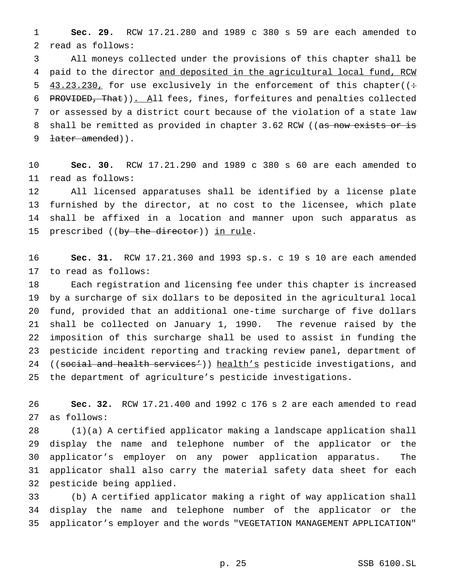**Sec. 29.** RCW 17.21.280 and 1989 c 380 s 59 are each amended to read as follows:

 All moneys collected under the provisions of this chapter shall be 4 paid to the director and deposited in the agricultural local fund, RCW 5  $43.23.230$ , for use exclusively in the enforcement of this chapter( $($ : PROVIDED, That)). All fees, fines, forfeitures and penalties collected or assessed by a district court because of the violation of a state law 8 shall be remitted as provided in chapter 3.62 RCW ((as now exists or is 9 <del>later amended</del>)).

 **Sec. 30.** RCW 17.21.290 and 1989 c 380 s 60 are each amended to read as follows:

 All licensed apparatuses shall be identified by a license plate furnished by the director, at no cost to the licensee, which plate shall be affixed in a location and manner upon such apparatus as 15 prescribed ((by the director)) in rule.

 **Sec. 31.** RCW 17.21.360 and 1993 sp.s. c 19 s 10 are each amended to read as follows:

 Each registration and licensing fee under this chapter is increased by a surcharge of six dollars to be deposited in the agricultural local fund, provided that an additional one-time surcharge of five dollars shall be collected on January 1, 1990. The revenue raised by the imposition of this surcharge shall be used to assist in funding the pesticide incident reporting and tracking review panel, department of 24 ((social and health services')) health's pesticide investigations, and the department of agriculture's pesticide investigations.

 **Sec. 32.** RCW 17.21.400 and 1992 c 176 s 2 are each amended to read as follows:

 (1)(a) A certified applicator making a landscape application shall display the name and telephone number of the applicator or the applicator's employer on any power application apparatus. The applicator shall also carry the material safety data sheet for each pesticide being applied.

 (b) A certified applicator making a right of way application shall display the name and telephone number of the applicator or the applicator's employer and the words "VEGETATION MANAGEMENT APPLICATION"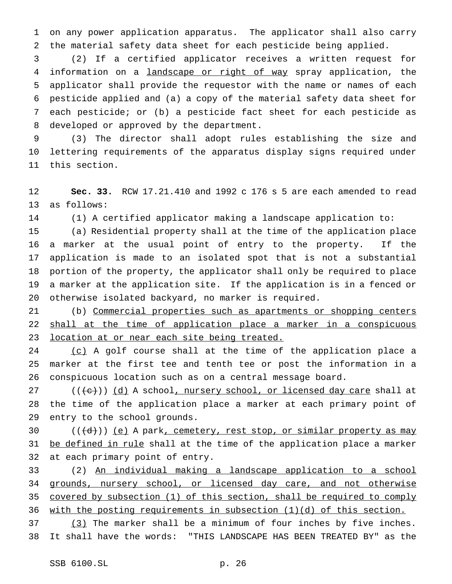on any power application apparatus. The applicator shall also carry the material safety data sheet for each pesticide being applied.

 (2) If a certified applicator receives a written request for 4 information on a landscape or right of way spray application, the applicator shall provide the requestor with the name or names of each pesticide applied and (a) a copy of the material safety data sheet for each pesticide; or (b) a pesticide fact sheet for each pesticide as developed or approved by the department.

 (3) The director shall adopt rules establishing the size and lettering requirements of the apparatus display signs required under this section.

 **Sec. 33.** RCW 17.21.410 and 1992 c 176 s 5 are each amended to read as follows:

(1) A certified applicator making a landscape application to:

 (a) Residential property shall at the time of the application place a marker at the usual point of entry to the property. If the application is made to an isolated spot that is not a substantial portion of the property, the applicator shall only be required to place a marker at the application site. If the application is in a fenced or otherwise isolated backyard, no marker is required.

 (b) Commercial properties such as apartments or shopping centers 22 shall at the time of application place a marker in a conspicuous location at or near each site being treated.

24 (c) A golf course shall at the time of the application place a marker at the first tee and tenth tee or post the information in a conspicuous location such as on a central message board.

27 (((e))) (d) A school, nursery school, or licensed day care shall at the time of the application place a marker at each primary point of entry to the school grounds.

30  $((\{d\})\)$  (e) A park, cemetery, rest stop, or similar property as may 31 be defined in rule shall at the time of the application place a marker at each primary point of entry.

 (2) An individual making a landscape application to a school grounds, nursery school, or licensed day care, and not otherwise covered by subsection (1) of this section, shall be required to comply with the posting requirements in subsection (1)(d) of this section.

37 (3) The marker shall be a minimum of four inches by five inches. It shall have the words: "THIS LANDSCAPE HAS BEEN TREATED BY" as the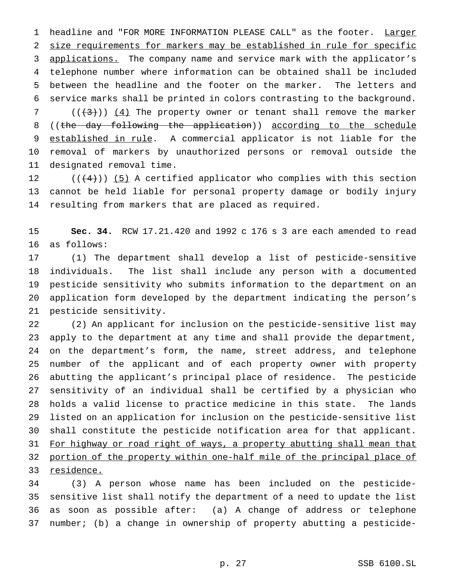1 headline and "FOR MORE INFORMATION PLEASE CALL" as the footer. Larger size requirements for markers may be established in rule for specific 3 applications. The company name and service mark with the applicator's telephone number where information can be obtained shall be included between the headline and the footer on the marker. The letters and service marks shall be printed in colors contrasting to the background.  $((+3))$   $(4)$  The property owner or tenant shall remove the marker 8 ((the day following the application)) according to the schedule 9 established in rule. A commercial applicator is not liable for the removal of markers by unauthorized persons or removal outside the

designated removal time.

12  $((+4))$  (5) A certified applicator who complies with this section cannot be held liable for personal property damage or bodily injury resulting from markers that are placed as required.

 **Sec. 34.** RCW 17.21.420 and 1992 c 176 s 3 are each amended to read as follows:

 (1) The department shall develop a list of pesticide-sensitive individuals. The list shall include any person with a documented pesticide sensitivity who submits information to the department on an application form developed by the department indicating the person's pesticide sensitivity.

 (2) An applicant for inclusion on the pesticide-sensitive list may apply to the department at any time and shall provide the department, on the department's form, the name, street address, and telephone number of the applicant and of each property owner with property abutting the applicant's principal place of residence. The pesticide sensitivity of an individual shall be certified by a physician who holds a valid license to practice medicine in this state. The lands listed on an application for inclusion on the pesticide-sensitive list shall constitute the pesticide notification area for that applicant. 31 For highway or road right of ways, a property abutting shall mean that portion of the property within one-half mile of the principal place of residence.

 (3) A person whose name has been included on the pesticide- sensitive list shall notify the department of a need to update the list as soon as possible after: (a) A change of address or telephone number; (b) a change in ownership of property abutting a pesticide-